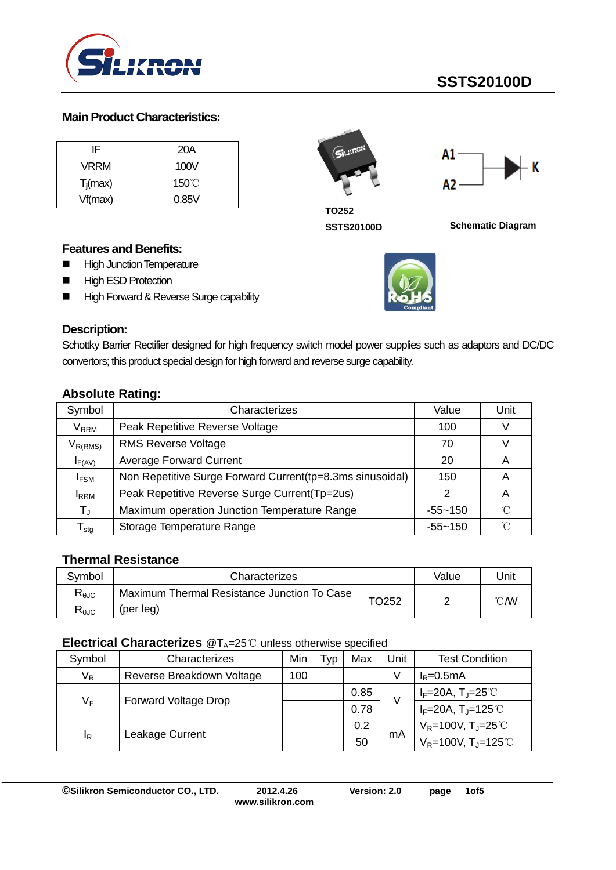

# **SSTS20100D**

#### **Main Product Characteristics:**

| IF          | 20A             |
|-------------|-----------------|
| <b>VRRM</b> | 100V            |
| $T_i$ (max) | $150^{\circ}$ C |
| Vf(max)     | 0.85V           |





**TO252**

**SSTS20100D Schematic Diagram**

#### **Features and Benefits:**

- **High Junction Temperature**
- **High ESD Protection**
- High Forward & Reverse Surge capability



Schottky Barrier Rectifier designed for high frequency switch model power supplies such as adaptors and DC/DC convertors; this product special design for high forward and reverse surge capability.

|  | <b>Absolute Rating:</b> |
|--|-------------------------|
|  |                         |

| Symbol                           | Characterizes                                             | Value       | Unit |
|----------------------------------|-----------------------------------------------------------|-------------|------|
| $\mathsf{V}_\mathsf{RRM}$        | Peak Repetitive Reverse Voltage                           | 100         |      |
| $V_{R(RMS)}$                     | <b>RMS Reverse Voltage</b>                                | 70          |      |
| $I_{F(AV)}$                      | <b>Average Forward Current</b>                            | 20          | A    |
| <b>IFSM</b>                      | Non Repetitive Surge Forward Current(tp=8.3ms sinusoidal) | 150         |      |
| <b>I</b> RRM                     | Peak Repetitive Reverse Surge Current(Tp=2us)             |             | A    |
| $\mathsf{T}_\mathsf{J}$          | Maximum operation Junction Temperature Range              | $-55 - 150$ | ົ    |
| $\mathsf{\Gamma}_{\mathsf{stg}}$ | Storage Temperature Range                                 | $-55 - 150$ | °∩   |

#### **Thermal Resistance**

| Symbol                                  | Characterizes                               | Value        | Jnit |                |
|-----------------------------------------|---------------------------------------------|--------------|------|----------------|
| $R_{\theta$ JC                          | Maximum Thermal Resistance Junction To Case | <b>TO252</b> |      | $^{\circ}$ CMV |
| $\mathsf{R}_{\mathsf{\theta\text{JC}}}$ | (per leg)                                   |              |      |                |

#### **Electrical Characterizes** @T<sub>A</sub>=25℃ unless otherwise specified

| Symbol         | Characterizes                        | Min | Typ | Max  | Unit | <b>Test Condition</b>              |
|----------------|--------------------------------------|-----|-----|------|------|------------------------------------|
| $V_R$          | Reverse Breakdown Voltage            | 100 |     |      | V    | $I_R = 0.5mA$                      |
|                |                                      |     |     | 0.85 | V    | $I_F = 20A$ , $T_J = 25^{\circ}$   |
|                | $V_F$<br><b>Forward Voltage Drop</b> |     |     | 0.78 |      | $I_F = 20A$ , $T_J = 125^{\circ}C$ |
| <sup>1</sup> R | Leakage Current                      |     |     | 0.2  | mA   | $V_R = 100V, T_J = 25°C$           |
|                |                                      |     |     | 50   |      | $V_R$ =100V, T <sub>J</sub> =125℃  |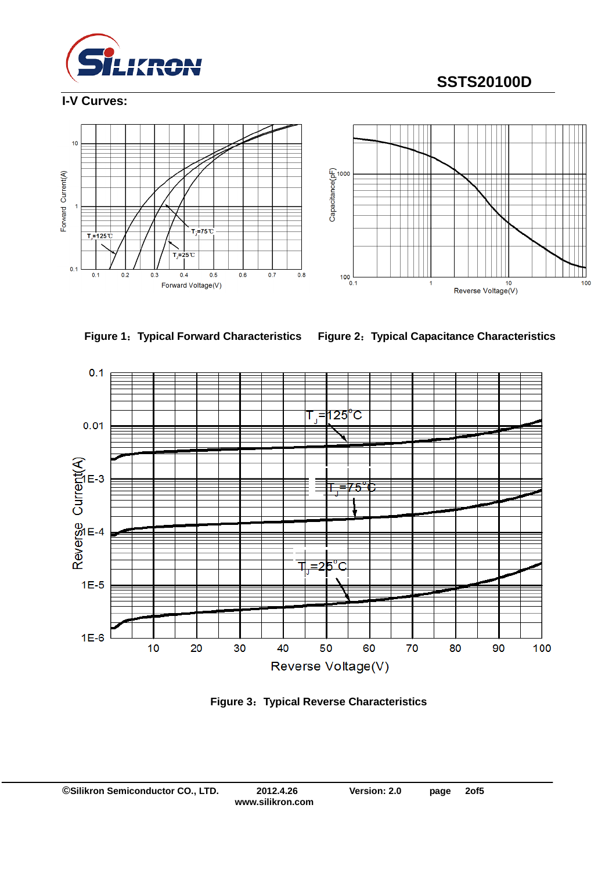

# **SSTS20100D**

#### **I-V Curves:**







**Figure 1**:**Typical Forward Characteristics Figure 2**:**Typical Capacitance Characteristics**



**Figure 3**:**Typical Reverse Characteristics**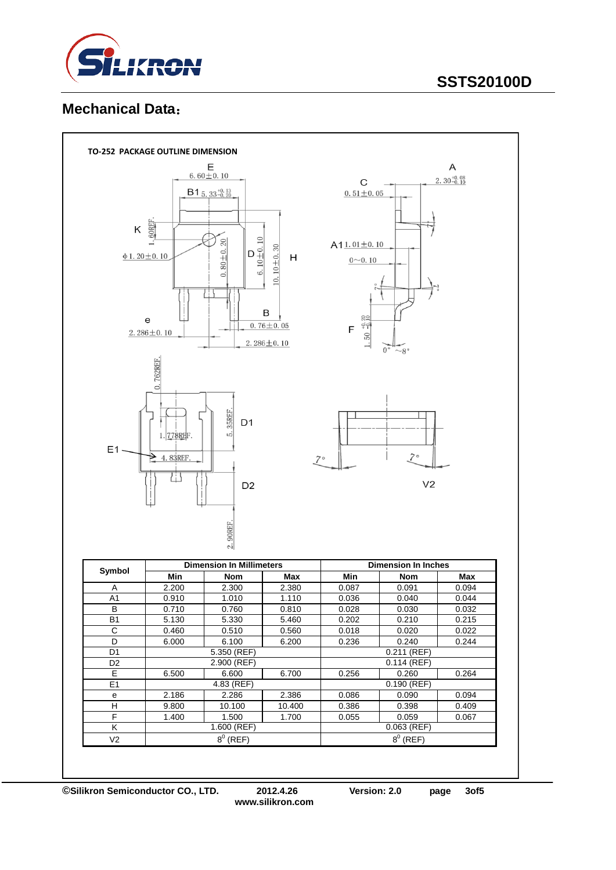

# **SSTS20100D**

## **Mechanical Data**:

|                                  | TO-252 PACKAGE OUTLINE DIMENSION                                                                      |                                 |                  |                      |                            |                        |  |
|----------------------------------|-------------------------------------------------------------------------------------------------------|---------------------------------|------------------|----------------------|----------------------------|------------------------|--|
|                                  |                                                                                                       | E<br>$6.60 \pm 0.10$            |                  |                      |                            | A                      |  |
|                                  |                                                                                                       |                                 |                  |                      |                            | $2.30_{-0.10}^{+0.08}$ |  |
|                                  |                                                                                                       | $B1_{5.33_{-0.20}^{+0.13}}$     |                  | $0.51 \pm 0.05$      |                            |                        |  |
|                                  |                                                                                                       |                                 |                  |                      |                            |                        |  |
|                                  |                                                                                                       |                                 |                  |                      |                            |                        |  |
| Κ                                | <b>60REF</b>                                                                                          |                                 |                  |                      |                            |                        |  |
|                                  |                                                                                                       |                                 |                  | $A11.01 \pm 0.10$    |                            |                        |  |
|                                  | $\frac{D}{6.10 \pm 0.10}$<br>$0.80 + 0.20$<br>$10.10 + 0.30$<br>$\Phi$ 1.20 ± 0.10<br>Н<br>$0 - 0.10$ |                                 |                  |                      |                            |                        |  |
|                                  |                                                                                                       |                                 |                  |                      |                            |                        |  |
|                                  |                                                                                                       |                                 |                  |                      |                            |                        |  |
|                                  |                                                                                                       |                                 |                  |                      |                            |                        |  |
|                                  |                                                                                                       |                                 |                  |                      |                            |                        |  |
|                                  | e                                                                                                     |                                 | B                | <u>នួក</u>           |                            |                        |  |
|                                  | $2.286 \pm 0.10$                                                                                      |                                 | $0.76 \pm 0.05$  | ငှခဲ့<br>$\mathsf F$ |                            |                        |  |
|                                  |                                                                                                       |                                 | $2.286 \pm 0.10$ | 1.50                 |                            |                        |  |
|                                  |                                                                                                       |                                 |                  |                      | $0^{\circ}$<br>$\sim$ 8°   |                        |  |
|                                  | 0.762REF                                                                                              |                                 |                  |                      |                            |                        |  |
|                                  |                                                                                                       |                                 |                  |                      |                            |                        |  |
|                                  |                                                                                                       |                                 |                  |                      |                            |                        |  |
|                                  |                                                                                                       |                                 |                  |                      |                            |                        |  |
|                                  |                                                                                                       | 35REF.                          |                  |                      |                            |                        |  |
|                                  |                                                                                                       | D <sub>1</sub>                  |                  |                      |                            |                        |  |
|                                  | 1. 778REF.                                                                                            | ເດ່                             |                  |                      |                            |                        |  |
| E1                               |                                                                                                       |                                 |                  |                      | $7^{\circ}$                |                        |  |
|                                  | 4.83REF                                                                                               |                                 |                  | 70                   |                            |                        |  |
|                                  | ∐                                                                                                     |                                 |                  |                      |                            |                        |  |
|                                  |                                                                                                       | D <sub>2</sub>                  |                  |                      | V <sub>2</sub>             |                        |  |
|                                  |                                                                                                       |                                 |                  |                      |                            |                        |  |
|                                  |                                                                                                       |                                 |                  |                      |                            |                        |  |
|                                  |                                                                                                       |                                 |                  |                      |                            |                        |  |
|                                  |                                                                                                       | 2.90REF                         |                  |                      |                            |                        |  |
|                                  |                                                                                                       |                                 |                  |                      |                            |                        |  |
|                                  |                                                                                                       | <b>Dimension In Millimeters</b> |                  |                      | <b>Dimension In Inches</b> |                        |  |
| Symbol                           | Min                                                                                                   | Nom                             | Max              | Min                  | Nom                        | Max                    |  |
| Α                                | 2.200                                                                                                 | 2.300                           | 2.380            | 0.087                | 0.091                      | 0.094                  |  |
| A <sub>1</sub>                   | 0.910                                                                                                 | 1.010                           | 1.110            | 0.036                | 0.040                      | 0.044                  |  |
| $\sf B$                          | 0.710                                                                                                 | 0.760                           | 0.810            | 0.028                | 0.030                      | 0.032                  |  |
| <b>B1</b>                        | 5.130                                                                                                 | 5.330                           | 5.460            | 0.202                | 0.210                      | 0.215                  |  |
| $\overline{C}$                   | 0.460                                                                                                 | 0.510                           | 0.560            | 0.018                | 0.020                      | 0.022                  |  |
| $\overline{D}$                   | 6.000                                                                                                 | 6.100                           | 6.200            | 0.236                | 0.240                      | 0.244                  |  |
| D <sub>1</sub>                   |                                                                                                       | $5.350$ (REF)                   |                  |                      | $0.211$ (REF)              |                        |  |
| D <sub>2</sub><br>$\overline{E}$ | 6.500                                                                                                 | $2.900$ (REF)<br>6.600          | 6.700            | 0.256                | $0.114$ (REF)<br>0.260     | 0.264                  |  |
| E <sub>1</sub>                   |                                                                                                       | $4.83$ (REF)                    |                  |                      | $0.190$ (REF)              |                        |  |
| e                                | 2.186                                                                                                 | 2.286                           | 2.386            | 0.086                | 0.090                      | 0.094                  |  |
| $\overline{H}$                   | 9.800                                                                                                 | 10.100                          | 10.400           | 0.386                | 0.398                      | 0.409                  |  |
| F                                | 1.400                                                                                                 | 1.500                           | 1.700            | 0.055                | 0.059                      | 0.067                  |  |
| $\overline{\mathsf{K}}$          |                                                                                                       | $1.600$ (REF)                   |                  |                      | $0.063$ (REF)              |                        |  |
| V <sub>2</sub>                   |                                                                                                       | $8^0$ (REF)                     |                  |                      | $8^0$ (REF)                |                        |  |
|                                  |                                                                                                       |                                 |                  |                      |                            |                        |  |

**©Silikron Semiconductor CO., LTD. 2012.4.26 Version: 2.0 page 3of5**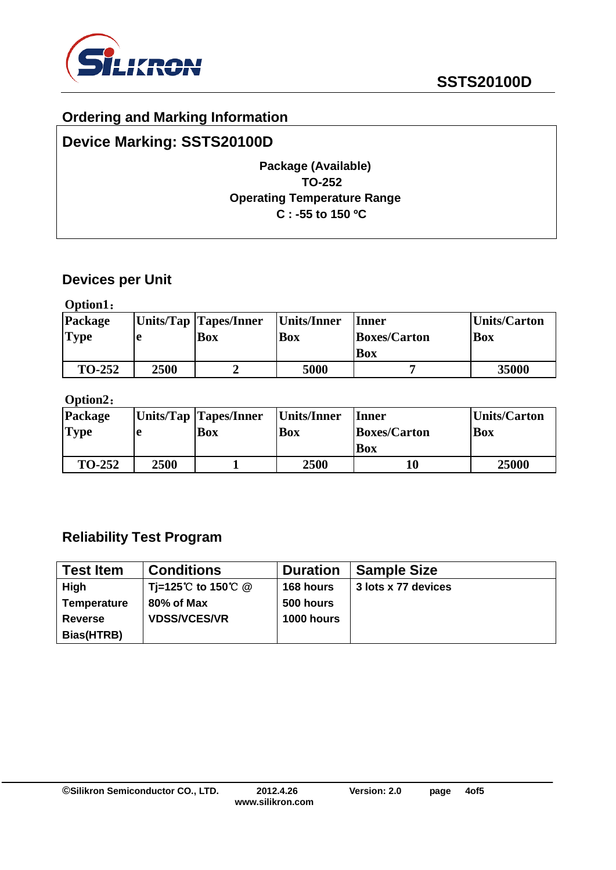

## **Ordering and Marking Information**

## **Device Marking: SSTS20100D**

## **Package (Available) TO-252 Operating Temperature Range C : -55 to 150 ºC**

### **Devices per Unit**

**Option1**:

| Package       |      | Units/Tap Tapes/Inner | Units/Inner | <b>Inner</b>        | Units/Carton |
|---------------|------|-----------------------|-------------|---------------------|--------------|
| <b>Type</b>   |      | <b>Box</b>            | <b>Box</b>  | <b>Boxes/Carton</b> | <b>Box</b>   |
|               |      |                       |             | Box                 |              |
| <b>TO-252</b> | 2500 |                       | 5000        |                     | 35000        |

### **Option2**:

| Package       |      | Units/Tap Tapes/Inner | Units/Inner | Inner               | Units/Carton |
|---------------|------|-----------------------|-------------|---------------------|--------------|
| <b>Type</b>   | ıе   | Box                   | <b>Box</b>  | <b>Boxes/Carton</b> | <b>Box</b>   |
|               |      |                       |             | Box                 |              |
| <b>TO-252</b> | 2500 |                       | 2500        |                     | 25000        |

## **Reliability Test Program**

| <b>Test Item</b>   | <b>Conditions</b>   | <b>Duration</b>   | <b>Sample Size</b>  |
|--------------------|---------------------|-------------------|---------------------|
| High               | Ti=125℃ to 150℃ @   | 168 hours         | 3 lots x 77 devices |
| <b>Temperature</b> | 80% of Max          | 500 hours         |                     |
| <b>Reverse</b>     | <b>VDSS/VCES/VR</b> | <b>1000 hours</b> |                     |
| Bias(HTRB)         |                     |                   |                     |